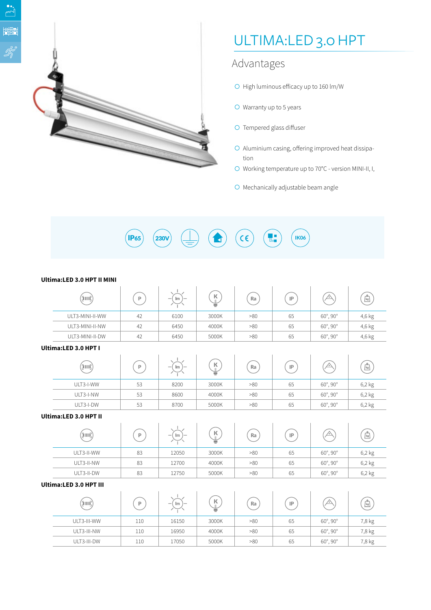

# ULTIMA:LED 3.0 HPT

### Advantages

- $\bigcirc$  High luminous efficacy up to 160 lm/W
- $\bigcirc$  Warranty up to 5 years
- $\bigcirc$  Tempered glass diffuser
- $\circ$  Aluminium casing, offering improved heat dissipation
- O Working temperature up to 70°C version MINI-II, I,
- $\bigcirc$  Mechanically adjustable beam angle

 $(230V)$  $(\mathsf{IP65})$ IK06  $C \in$ 

| Ultima:LED 3.0 HPT II MINI |    |                                                            |                                  |     |    |                      |        |  |
|----------------------------|----|------------------------------------------------------------|----------------------------------|-----|----|----------------------|--------|--|
| THEFT                      | P  | Im<br>$\overline{\phantom{a}}$<br>$\overline{\phantom{0}}$ | $\mathsf K$<br>$\mathbf{H}$<br>≣ | Ra  | IP |                      | kg     |  |
| ULT3-MINI-II-WW            | 42 | 6100                                                       | 3000K                            | >80 | 65 | $60^\circ, 90^\circ$ | 4,6 kg |  |
| ULT3-MINI-II-NW            | 42 | 6450                                                       | 4000K                            | >80 | 65 | $60^\circ, 90^\circ$ | 4,6 kg |  |
| ULT3-MINI-II-DW            | 42 | 6450                                                       | 5000K                            | >80 | 65 | $60^\circ, 90^\circ$ | 4,6 kg |  |
| Ultima:LED 3.0 HPT I       |    |                                                            |                                  |     |    |                      |        |  |

 $\sum_{i=1}^{n}$ 

| (INN)     | Þ  | 1 <sub>m</sub><br>$\overline{\phantom{0}}$ | К<br>₩ | Ra  | IP | バ                    | $\lceil \log \rceil$ |
|-----------|----|--------------------------------------------|--------|-----|----|----------------------|----------------------|
| ULT3-I-WW | 53 | 8200                                       | 3000K  | >80 | 65 | $60^\circ, 90^\circ$ | 6,2 kg               |
| ULT3-I-NW | 53 | 8600                                       | 4000K  | >80 | 65 | $60^\circ, 90^\circ$ | 6,2 kg               |
| ULT3-I-DW | 53 | 8700                                       | 5000K  | >80 | 65 | $60^\circ, 90^\circ$ | 6,2 kg               |

#### **Ultima:LED 3.0 HPT II**

| (DOU)      | D.<br>83<br>83 | Im<br>$\overline{\phantom{a}}$<br>$\overline{\phantom{a}}$ | К<br>€ | Ra  | IP | /٥١                  | ے<br>$\mu$ |
|------------|----------------|------------------------------------------------------------|--------|-----|----|----------------------|------------|
| ULT3-II-WW |                | 12050                                                      | 3000K  | >80 | 65 | $60^\circ, 90^\circ$ | 6,2 kg     |
| ULT3-II-NW |                | 12700                                                      | 4000K  | >80 | 65 | $60^\circ, 90^\circ$ | 6,2 kg     |
| ULT3-II-DW | 83             | 12750                                                      | 5000K  | >80 | 65 | $60^\circ, 90^\circ$ | 6,2 kg     |

### **Ultima:LED 3.0 HPT III**

| (THING)     | D   | Im<br>$\sim$ | к<br>≘ | Ra  | IP |                      | ≏<br>$\mu$ |
|-------------|-----|--------------|--------|-----|----|----------------------|------------|
| ULT3-III-WW | 110 | 16150        | 3000K  | >80 | 65 | $60^\circ, 90^\circ$ | 7,8 kg     |
| ULT3-III-NW | 110 | 16950        | 4000K  | >80 | 65 | $60^\circ, 90^\circ$ | 7,8 kg     |
| ULT3-III-DW | 110 | 17050        | 5000K  | >80 | 65 | $60^\circ, 90^\circ$ | 7,8 kg     |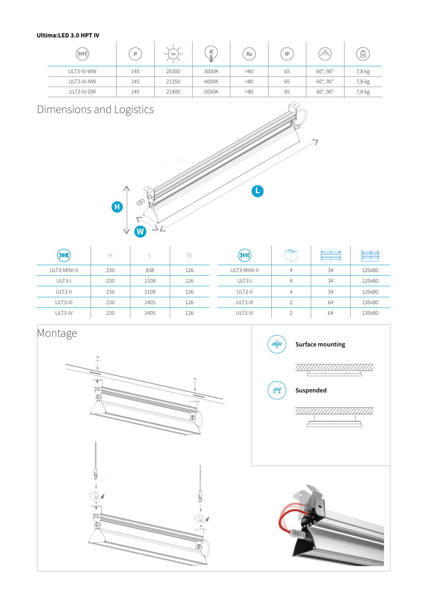### **Ultima:LED 3.0 HPT IV**

| '(OUN)     | Þ   | Im<br>$\sim$<br>$\overline{\phantom{a}}$ | К<br>€ | Ra  | IP | ∕∘`                  | ᅀ<br>$\log$ |
|------------|-----|------------------------------------------|--------|-----|----|----------------------|-------------|
| ULT3-IV-WW | 145 | 20300                                    | 3000K  | >80 | 65 | $60^\circ, 90^\circ$ | 7,8 kg      |
| ULT3-IV-NW | 145 | 21350                                    | 4000K  | >80 | 65 | $60^\circ, 90^\circ$ | 7,8 kg      |
| ULT3-IV-DW | 145 | 21400                                    | 5000K  | >80 | 65 | $60^\circ, 90^\circ$ | 7,8 kg      |

## Dimensions and Logistics



| <b>TOO NOTE</b> | ш   |      | W   | TIMIN        |                | .<br><b>State State State</b><br>and the contract | <b>Contract</b><br>E |
|-----------------|-----|------|-----|--------------|----------------|---------------------------------------------------|----------------------|
| ULT3-MINI-II    | 230 | 838  | 126 | ULT3-MINI-II | 4              | 34                                                | 120x80               |
| ULT3-I          | 230 | 1108 | 126 | ULT3-I       | 4              | 34                                                | 120x80               |
| ULT3-II         | 230 | 1108 | 126 | ULT3-II      | 4              | 34                                                | 120×80               |
| ULT3-III        | 230 | 1405 | 126 | ULT3-III     | $\overline{ }$ | 64                                                | 130×80               |
| ULT3-IV         | 230 | 1405 | 126 | ULT3-IV      | $\sim$         | 64                                                | 130×80               |